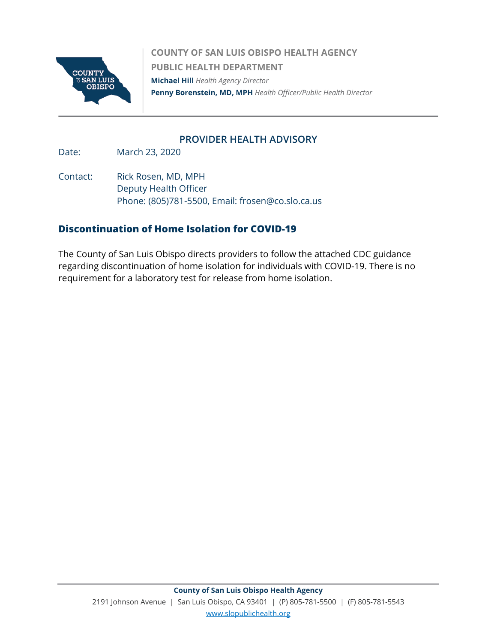

**COUNTY OF SAN LUIS OBISPO HEALTH AGENCY PUBLIC HEALTH DEPARTMENT Michael Hill** *Health Agency Director*  **Penny Borenstein, MD, MPH** *Health Officer/Public Health Director*

#### **PROVIDER HEALTH ADVISORY**

Date: March 23, 2020

Contact: Rick Rosen, MD, MPH Deputy Health Officer Phone: (805)781-5500, Email: frosen@co.slo.ca.us

#### **Discontinuation of Home Isolation for COVID-19**

The County of San Luis Obispo directs providers to follow the attached CDC guidance regarding discontinuation of home isolation for individuals with COVID-19. There is no requirement for a laboratory test for release from home isolation.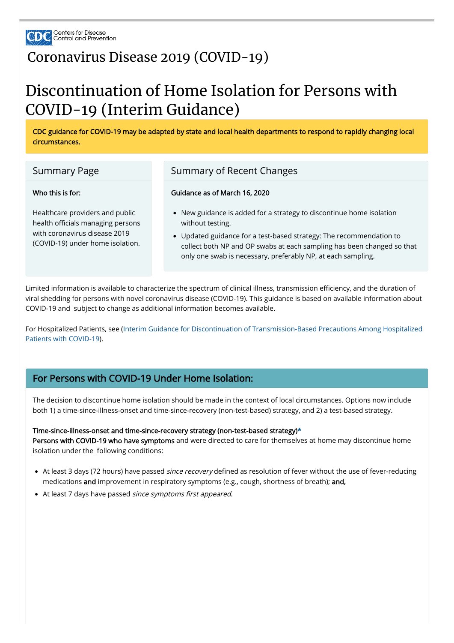

## [Coronavirus Disease 2019 \(COVID-19\)](https://www.cdc.gov/coronavirus/2019-nCoV/index.html)

# Discontinuation of Home Isolation for Persons with COVID-19 (Interim Guidance)

CDC guidance for COVID-19 may be adapted by state and local health departments to respond to rapidly changing local circumstances.

| <b>Summary Page</b>                                                                                                                       | Summary of Recent Changes                                                                                                                                                                                                                                                                                 |
|-------------------------------------------------------------------------------------------------------------------------------------------|-----------------------------------------------------------------------------------------------------------------------------------------------------------------------------------------------------------------------------------------------------------------------------------------------------------|
| Who this is for:                                                                                                                          | Guidance as of March 16, 2020                                                                                                                                                                                                                                                                             |
| Healthcare providers and public<br>health officials managing persons<br>with coronavirus disease 2019<br>(COVID-19) under home isolation. | • New guidance is added for a strategy to discontinue home isolation<br>without testing.<br>• Updated guidance for a test-based strategy: The recommendation to<br>collect both NP and OP swabs at each sampling has been changed so that<br>only one swab is necessary, preferably NP, at each sampling. |

Limited information is available to characterize the spectrum of clinical illness, transmission efficiency, and the duration of viral shedding for persons with novel coronavirus disease (COVID-19). This guidance is based on available information about COVID-19 and subject to change as additional information becomes available.

Persons with COVID-19 who have symptoms and were directed to care for themselves at home may discontinue home isolation under the following conditions:

- At least 3 days (72 hours) have passed *since recovery* defined as resolution of fever without the use of fever-reducing medications and improvement in respiratory symptoms (e.g., cough, shortness of breath); and,
- At least 7 days have passed since symptoms first appeared.

[For Hospitalized Patients, see \(Interim Guidance for Discontinuation of Transmission-Based Precautions Among Hospitalized](https://www.cdc.gov/coronavirus/2019-ncov/hcp/disposition-hospitalized-patients.html) Patients with COVID-19).

## For Persons with COVID-19 Under Home Isolation:

The decision to discontinue home isolation should be made in the context of local circumstances. Options now include both 1) a time-since-illness-onset and time-since-recovery (non-test-based) strategy, and 2) a test-based strategy.

#### Time-since-illness-onset and time-since-recovery strategy (non-test-based strategy)[\\*](#page-2-0)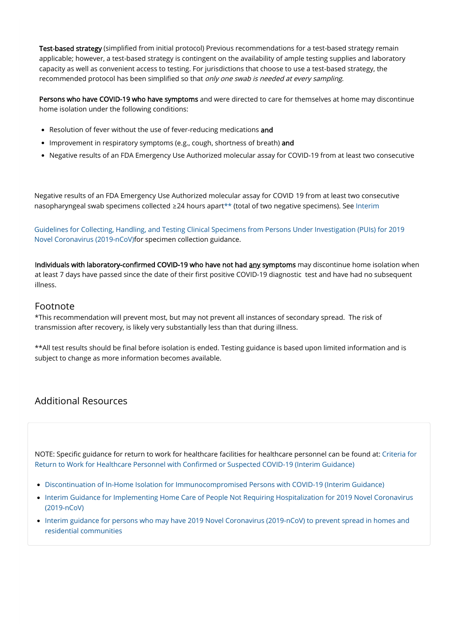Guidelines for Collecting, Handling, and Testing Clinical Specimens from Persons Under Investigation (PUIs) for 2019 [Novel Coronavirus \(2019-nCoV\)for specimen collection guidance.](https://www.cdc.gov/coronavirus/2019-ncov/healthcare-facilities/hcp-return-work.html)

Individuals with laboratory-confirmed COVID-19 who have not had any symptoms may discontinue home isolation when at least 7 days have passed since the date of their first positive COVID-19 diagnostic test and have had no subsequent ill[ness.](https://www.cdc.gov/coronavirus/2019-ncov/hcp/guidance-home-care.html)

\*\*All test results should be final before isolation is ended. Testing guidance is based upon limited information and is subject to change as more information becomes available.

### Footnote

\*T[his recommendation will prevent most, but may not prevent all instances of secondary spread. The risk of](https://www.cdc.gov/coronavirus/2019-ncov/hcp/guidance-prevent-spread.html) transmission after recovery, is likely very substantially less than that during illness.

## Additional Resources

NOTE: Specific guidance for return to work for healthcare facilities for healthcare personnel can be found at: Criteria for Return to Work for Healthcare Personnel with Confirmed or Suspected COVID-19 (Interim Guidance)

- <span id="page-2-0"></span>• Resolution of fever without the use of fever-reducing medications and
- Improvement in respiratory symptoms (e.g., cough, shortness of breath) and
- Negative results of an FDA Emergency Use Authorized molecular assay for COVID-19 from at least two consecutive

Negative results of an FDA Emergency Use Authorized molecular assay for COVID 19 from at least two consecutive nasopharyngeal swab specimens collected ≥24 hours apart\*\* (total of two negative specimens). See Interim

- Discontinuation of In-Home Isolation for Immunocompromised Persons with COVID-19 (Interim Guidance)
- Interim Guidance for Implementing Home Care of People Not Requiring Hospitalization for 2019 Novel Coronavirus (2019-nCoV)
- Interim guidance for persons who may have 2019 Novel Coronavirus (2019-nCoV) to prevent spread in homes and residential communities

Test-based strategy (simplified from initial protocol) Previous recommendations for a test-based strategy remain a[pplicable; however, a test-based strategy is contingent on the availability of ample testing supplies and laboratory](https://www.cdc.gov/coronavirus/2019-nCoV/lab/guidelines-clinical-specimens.html) capacity as well as convenient access to testing. For jurisdictions that choose to use a test-based strategy, the recommended protocol has been simplified so that only one swab is needed at every sampling.

Persons who have COVID-19 who have symptoms and were directed to care for themselves at home may discontinue home isolation under the following conditions: